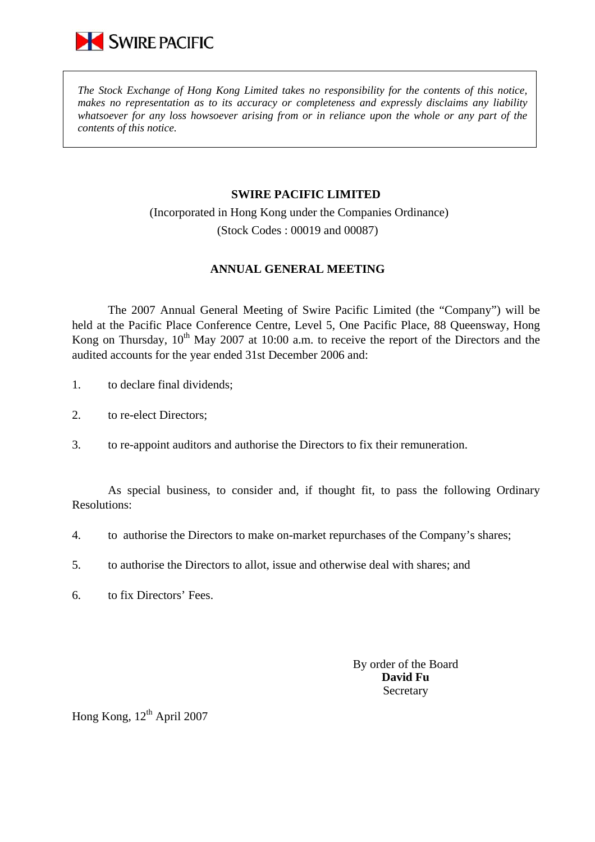

*The Stock Exchange of Hong Kong Limited takes no responsibility for the contents of this notice, makes no representation as to its accuracy or completeness and expressly disclaims any liability whatsoever for any loss howsoever arising from or in reliance upon the whole or any part of the contents of this notice.* 

## **SWIRE PACIFIC LIMITED**

 (Incorporated in Hong Kong under the Companies Ordinance) (Stock Codes : 00019 and 00087)

## **ANNUAL GENERAL MEETING**

 The 2007 Annual General Meeting of Swire Pacific Limited (the "Company") will be held at the Pacific Place Conference Centre, Level 5, One Pacific Place, 88 Queensway, Hong Kong on Thursday,  $10^{th}$  May 2007 at 10:00 a.m. to receive the report of the Directors and the audited accounts for the year ended 31st December 2006 and:

- 1. to declare final dividends;
- 2. to re-elect Directors;
- 3. to re-appoint auditors and authorise the Directors to fix their remuneration.

As special business, to consider and, if thought fit, to pass the following Ordinary Resolutions:

- 4. to authorise the Directors to make on-market repurchases of the Company's shares;
- 5. to authorise the Directors to allot, issue and otherwise deal with shares; and
- 6. to fix Directors' Fees.

By order of the Board **David Fu**  Secretary

Hong Kong,  $12<sup>th</sup>$  April 2007